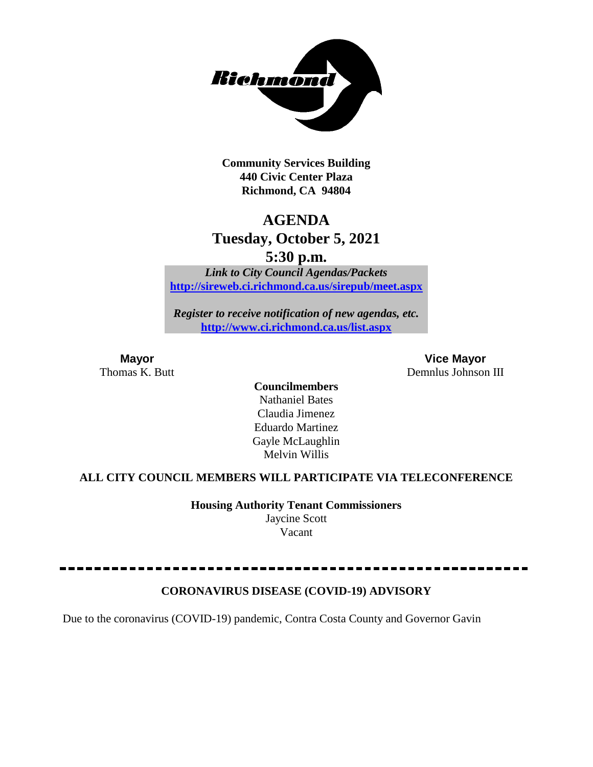

**Community Services Building 440 Civic Center Plaza Richmond, CA 94804**

## **AGENDA**

## **Tuesday, October 5, 2021**

**5:30 p.m.**

*Link to City Council Agendas/Packets* **<http://sireweb.ci.richmond.ca.us/sirepub/meet.aspx>**

*Register to receive notification of new agendas, etc.* **<http://www.ci.richmond.ca.us/list.aspx>**

**Mayor Vice Mayor** Thomas K. Butt Demnlus Johnson III

> **Councilmembers** Nathaniel Bates Claudia Jimenez Eduardo Martinez Gayle McLaughlin Melvin Willis

#### **ALL CITY COUNCIL MEMBERS WILL PARTICIPATE VIA TELECONFERENCE**

**Housing Authority Tenant Commissioners** Jaycine Scott Vacant

#### **CORONAVIRUS DISEASE (COVID-19) ADVISORY**

Due to the coronavirus (COVID-19) pandemic, Contra Costa County and Governor Gavin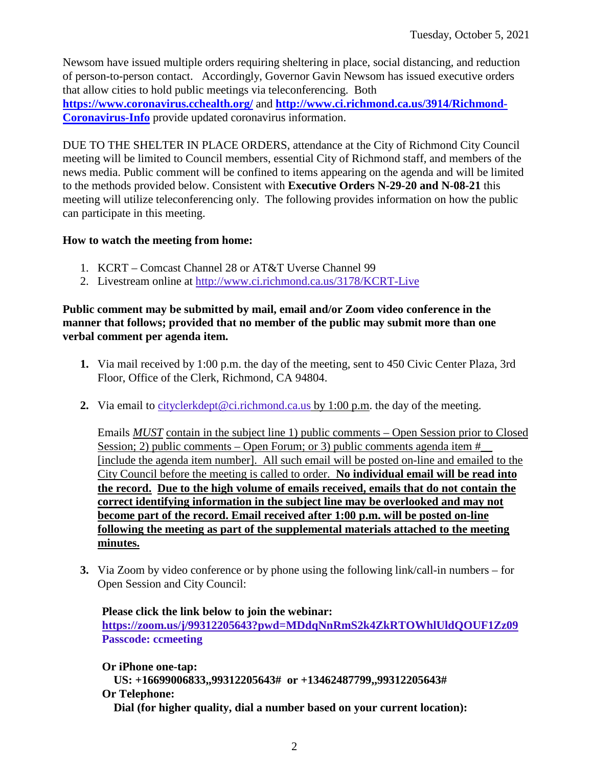Newsom have issued multiple orders requiring sheltering in place, social distancing, and reduction of person-to-person contact. Accordingly, Governor Gavin Newsom has issued executive orders that allow cities to hold public meetings via teleconferencing. Both **<https://www.coronavirus.cchealth.org/>** and **[http://www.ci.richmond.ca.us/3914/Richmond-](http://www.ci.richmond.ca.us/3914/Richmond-Coronavirus-Info)[Coronavirus-Info](http://www.ci.richmond.ca.us/3914/Richmond-Coronavirus-Info)** provide updated coronavirus information.

DUE TO THE SHELTER IN PLACE ORDERS, attendance at the City of Richmond City Council meeting will be limited to Council members, essential City of Richmond staff, and members of the news media. Public comment will be confined to items appearing on the agenda and will be limited to the methods provided below. Consistent with **Executive Orders N-29-20 and N-08-21** this meeting will utilize teleconferencing only. The following provides information on how the public can participate in this meeting.

#### **How to watch the meeting from home:**

- 1. KCRT Comcast Channel 28 or AT&T Uverse Channel 99
- 2. Livestream online at<http://www.ci.richmond.ca.us/3178/KCRT-Live>

#### **Public comment may be submitted by mail, email and/or Zoom video conference in the manner that follows; provided that no member of the public may submit more than one verbal comment per agenda item.**

- **1.** Via mail received by 1:00 p.m. the day of the meeting, sent to 450 Civic Center Plaza, 3rd Floor, Office of the Clerk, Richmond, CA 94804.
- **2.** Via email to [cityclerkdept@ci.richmond.ca.us](mailto:cityclerkdept@ci.richmond.ca.us) by 1:00 p.m. the day of the meeting.

Emails *MUST* contain in the subject line 1) public comments – Open Session prior to Closed Session; 2) public comments – Open Forum; or 3) public comments agenda item  $#$ [include the agenda item number]. All such email will be posted on-line and emailed to the City Council before the meeting is called to order. **No individual email will be read into the record. Due to the high volume of emails received, emails that do not contain the correct identifying information in the subject line may be overlooked and may not become part of the record. Email received after 1:00 p.m. will be posted on-line following the meeting as part of the supplemental materials attached to the meeting minutes.**

**3.** Via Zoom by video conference or by phone using the following link/call-in numbers – for Open Session and City Council:

**Please click the link below to join the webinar: <https://zoom.us/j/99312205643?pwd=MDdqNnRmS2k4ZkRTOWhlUldQOUF1Zz09> Passcode: ccmeeting**

**Or iPhone one-tap: US: +16699006833,,99312205643# or +13462487799,,99312205643# Or Telephone: Dial (for higher quality, dial a number based on your current location):**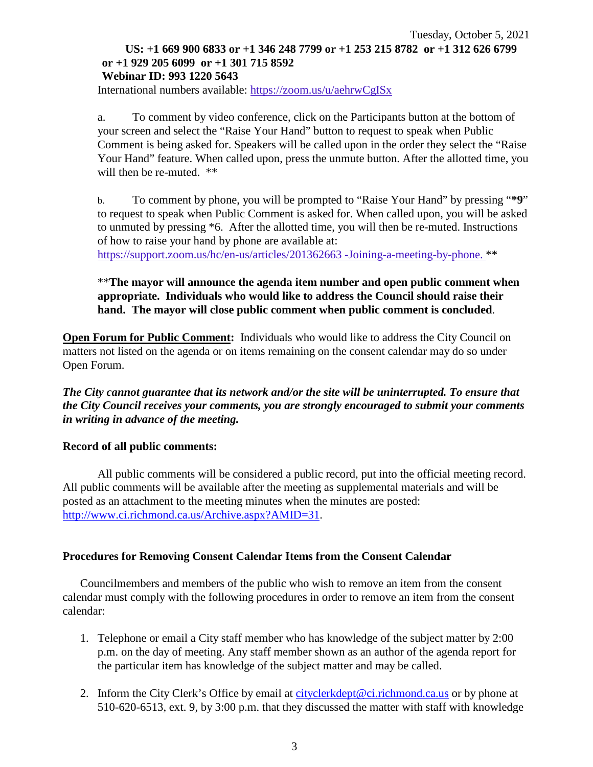#### Tuesday, October 5, 2021 **US: +1 669 900 6833 or +1 346 248 7799 or +1 253 215 8782 or +1 312 626 6799 or +1 929 205 6099 or +1 301 715 8592 Webinar ID: 993 1220 5643**

International numbers available: <https://zoom.us/u/aehrwCgISx>

a. To comment by video conference, click on the Participants button at the bottom of your screen and select the "Raise Your Hand" button to request to speak when Public Comment is being asked for. Speakers will be called upon in the order they select the "Raise Your Hand" feature. When called upon, press the unmute button. After the allotted time, you will then be re-muted.  $**$ 

b. To comment by phone, you will be prompted to "Raise Your Hand" by pressing "**\*9**" to request to speak when Public Comment is asked for. When called upon, you will be asked to unmuted by pressing \*6. After the allotted time, you will then be re-muted. Instructions of how to raise your hand by phone are available at:

[https://support.zoom.us/hc/en-us/articles/201362663 -Joining-a-meeting-by-phone.](https://support.zoom.us/hc/en-us/articles/201362663) \*\*

#### \*\***The mayor will announce the agenda item number and open public comment when appropriate. Individuals who would like to address the Council should raise their hand. The mayor will close public comment when public comment is concluded**.

**Open Forum for Public Comment:** Individuals who would like to address the City Council on matters not listed on the agenda or on items remaining on the consent calendar may do so under Open Forum.

*The City cannot guarantee that its network and/or the site will be uninterrupted. To ensure that the City Council receives your comments, you are strongly encouraged to submit your comments in writing in advance of the meeting.* 

#### **Record of all public comments:**

All public comments will be considered a public record, put into the official meeting record. All public comments will be available after the meeting as supplemental materials and will be posted as an attachment to the meeting minutes when the minutes are posted: [http://www.ci.richmond.ca.us/Archive.aspx?AMID=31.](http://www.ci.richmond.ca.us/Archive.aspx?AMID=31)

#### **Procedures for Removing Consent Calendar Items from the Consent Calendar**

Councilmembers and members of the public who wish to remove an item from the consent calendar must comply with the following procedures in order to remove an item from the consent calendar:

- 1. Telephone or email a City staff member who has knowledge of the subject matter by 2:00 p.m. on the day of meeting. Any staff member shown as an author of the agenda report for the particular item has knowledge of the subject matter and may be called.
- 2. Inform the City Clerk's Office by email at [cityclerkdept@ci.richmond.ca.us](mailto:cityclerkdept@ci.richmond.ca.us) or by phone at 510-620-6513, ext. 9, by 3:00 p.m. that they discussed the matter with staff with knowledge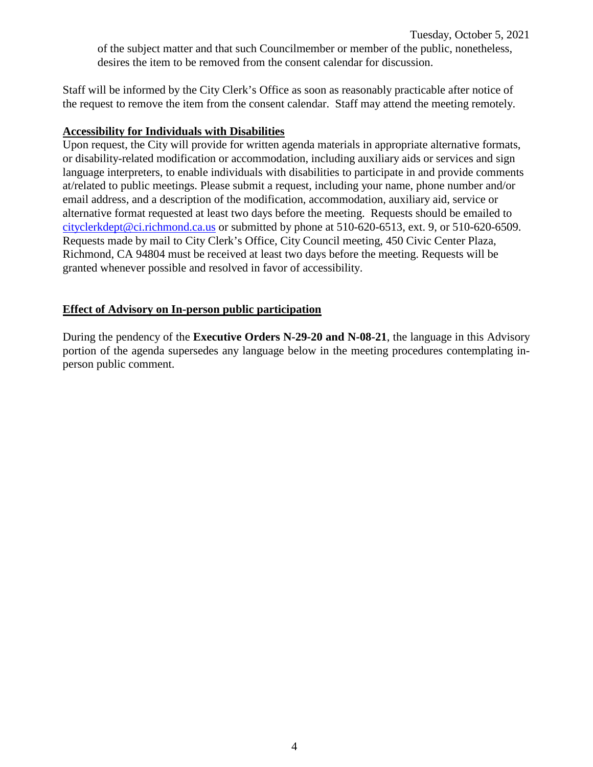Tuesday, October 5, 2021 of the subject matter and that such Councilmember or member of the public, nonetheless, desires the item to be removed from the consent calendar for discussion.

Staff will be informed by the City Clerk's Office as soon as reasonably practicable after notice of the request to remove the item from the consent calendar. Staff may attend the meeting remotely.

#### **Accessibility for Individuals with Disabilities**

Upon request, the City will provide for written agenda materials in appropriate alternative formats, or disability-related modification or accommodation, including auxiliary aids or services and sign language interpreters, to enable individuals with disabilities to participate in and provide comments at/related to public meetings. Please submit a request, including your name, phone number and/or email address, and a description of the modification, accommodation, auxiliary aid, service or alternative format requested at least two days before the meeting. Requests should be emailed to [cityclerkdept@ci.richmond.ca.us](mailto:cityclerkdept@ci.richmond.ca.us) or submitted by phone at 510-620-6513, ext. 9, or 510-620-6509. Requests made by mail to City Clerk's Office, City Council meeting, 450 Civic Center Plaza, Richmond, CA 94804 must be received at least two days before the meeting. Requests will be granted whenever possible and resolved in favor of accessibility.

#### **Effect of Advisory on In-person public participation**

During the pendency of the **Executive Orders N-29-20 and N-08-21**, the language in this Advisory portion of the agenda supersedes any language below in the meeting procedures contemplating inperson public comment.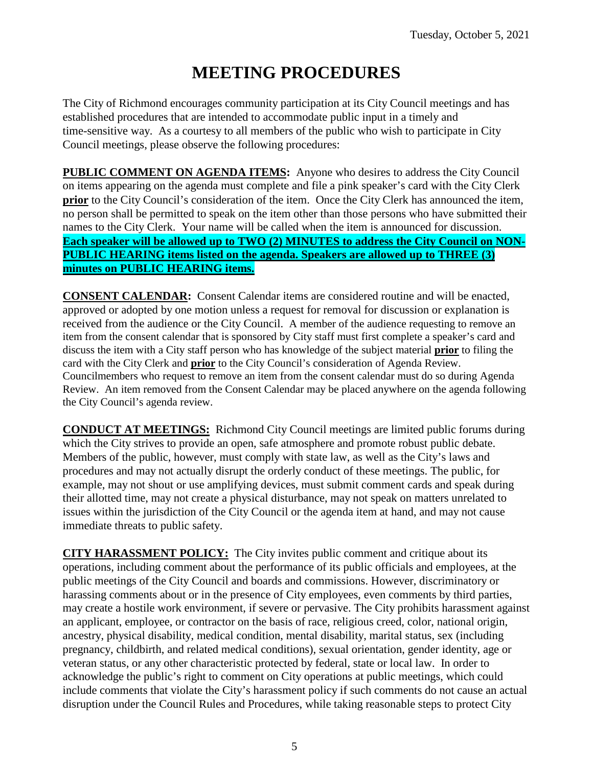# **MEETING PROCEDURES**

The City of Richmond encourages community participation at its City Council meetings and has established procedures that are intended to accommodate public input in a timely and time-sensitive way. As a courtesy to all members of the public who wish to participate in City Council meetings, please observe the following procedures:

**PUBLIC COMMENT ON AGENDA ITEMS:** Anyone who desires to address the City Council on items appearing on the agenda must complete and file a pink speaker's card with the City Clerk **prior** to the City Council's consideration of the item. Once the City Clerk has announced the item, no person shall be permitted to speak on the item other than those persons who have submitted their names to the City Clerk. Your name will be called when the item is announced for discussion. **Each speaker will be allowed up to TWO (2) MINUTES to address the City Council on NON-PUBLIC HEARING items listed on the agenda. Speakers are allowed up to THREE (3) minutes on PUBLIC HEARING items.**

**CONSENT CALENDAR:** Consent Calendar items are considered routine and will be enacted, approved or adopted by one motion unless a request for removal for discussion or explanation is received from the audience or the City Council. A member of the audience requesting to remove an item from the consent calendar that is sponsored by City staff must first complete a speaker's card and discuss the item with a City staff person who has knowledge of the subject material **prior** to filing the card with the City Clerk and **prior** to the City Council's consideration of Agenda Review. Councilmembers who request to remove an item from the consent calendar must do so during Agenda Review. An item removed from the Consent Calendar may be placed anywhere on the agenda following the City Council's agenda review.

**CONDUCT AT MEETINGS:** Richmond City Council meetings are limited public forums during which the City strives to provide an open, safe atmosphere and promote robust public debate. Members of the public, however, must comply with state law, as well as the City's laws and procedures and may not actually disrupt the orderly conduct of these meetings. The public, for example, may not shout or use amplifying devices, must submit comment cards and speak during their allotted time, may not create a physical disturbance, may not speak on matters unrelated to issues within the jurisdiction of the City Council or the agenda item at hand, and may not cause immediate threats to public safety.

**CITY HARASSMENT POLICY:** The City invites public comment and critique about its operations, including comment about the performance of its public officials and employees, at the public meetings of the City Council and boards and commissions. However, discriminatory or harassing comments about or in the presence of City employees, even comments by third parties, may create a hostile work environment, if severe or pervasive. The City prohibits harassment against an applicant, employee, or contractor on the basis of race, religious creed, color, national origin, ancestry, physical disability, medical condition, mental disability, marital status, sex (including pregnancy, childbirth, and related medical conditions), sexual orientation, gender identity, age or veteran status, or any other characteristic protected by federal, state or local law. In order to acknowledge the public's right to comment on City operations at public meetings, which could include comments that violate the City's harassment policy if such comments do not cause an actual disruption under the Council Rules and Procedures, while taking reasonable steps to protect City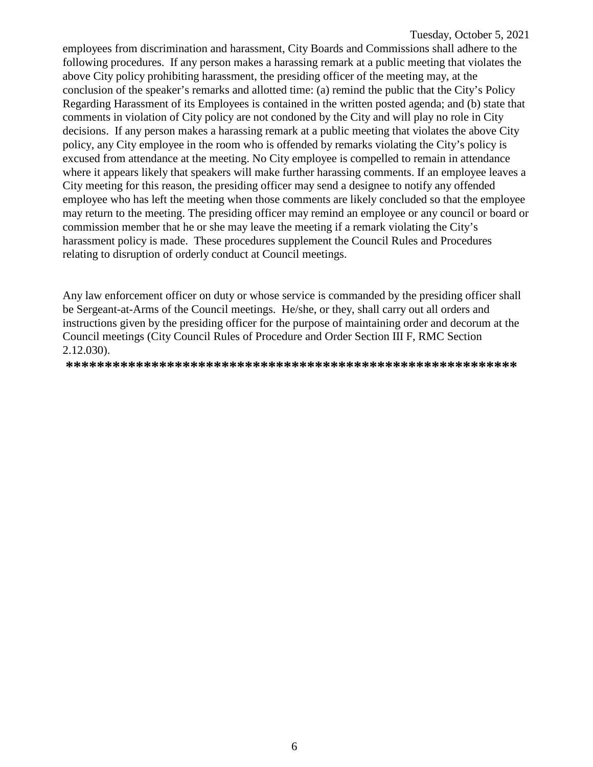employees from discrimination and harassment, City Boards and Commissions shall adhere to the following procedures. If any person makes a harassing remark at a public meeting that violates the above City policy prohibiting harassment, the presiding officer of the meeting may, at the conclusion of the speaker's remarks and allotted time: (a) remind the public that the City's Policy Regarding Harassment of its Employees is contained in the written posted agenda; and (b) state that comments in violation of City policy are not condoned by the City and will play no role in City decisions. If any person makes a harassing remark at a public meeting that violates the above City policy, any City employee in the room who is offended by remarks violating the City's policy is excused from attendance at the meeting. No City employee is compelled to remain in attendance where it appears likely that speakers will make further harassing comments. If an employee leaves a City meeting for this reason, the presiding officer may send a designee to notify any offended employee who has left the meeting when those comments are likely concluded so that the employee may return to the meeting. The presiding officer may remind an employee or any council or board or commission member that he or she may leave the meeting if a remark violating the City's harassment policy is made. These procedures supplement the Council Rules and Procedures relating to disruption of orderly conduct at Council meetings.

Any law enforcement officer on duty or whose service is commanded by the presiding officer shall be Sergeant-at-Arms of the Council meetings. He/she, or they, shall carry out all orders and instructions given by the presiding officer for the purpose of maintaining order and decorum at the Council meetings (City Council Rules of Procedure and Order Section III F, RMC Section 2.12.030).

**\*\*\*\*\*\*\*\*\*\*\*\*\*\*\*\*\*\*\*\*\*\*\*\*\*\*\*\*\*\*\*\*\*\*\*\*\*\*\*\*\*\*\*\*\*\*\*\*\*\*\*\*\*\*\*\*\*\***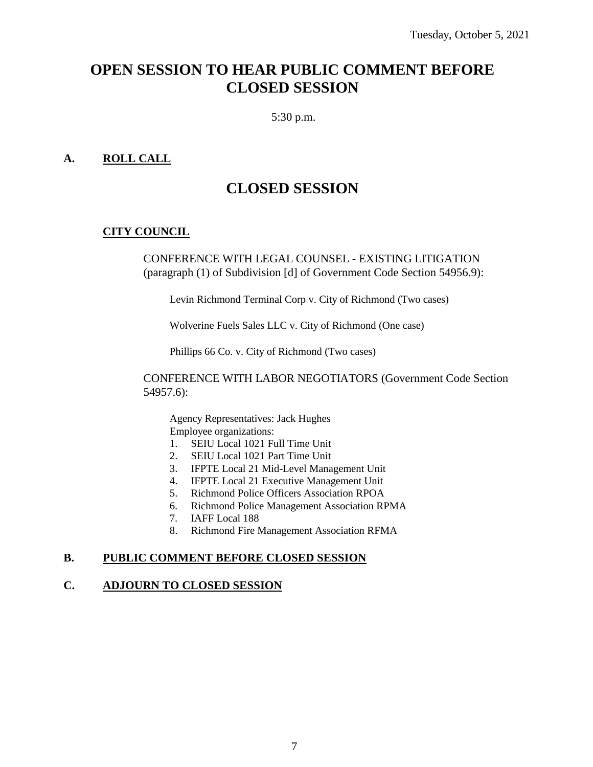## **OPEN SESSION TO HEAR PUBLIC COMMENT BEFORE CLOSED SESSION**

5:30 p.m.

#### **A. ROLL CALL**

## **CLOSED SESSION**

#### **CITY COUNCIL**

CONFERENCE WITH LEGAL COUNSEL - EXISTING LITIGATION (paragraph (1) of Subdivision [d] of Government Code Section 54956.9):

Levin Richmond Terminal Corp v. City of Richmond (Two cases)

Wolverine Fuels Sales LLC v. City of Richmond (One case)

Phillips 66 Co. v. City of Richmond (Two cases)

CONFERENCE WITH LABOR NEGOTIATORS (Government Code Section 54957.6):

Agency Representatives: Jack Hughes Employee organizations:

- 1. SEIU Local 1021 Full Time Unit
- 2. SEIU Local 1021 Part Time Unit
- 3. IFPTE Local 21 Mid-Level Management Unit
- 4. IFPTE Local 21 Executive Management Unit
- 5. Richmond Police Officers Association RPOA
- 6. Richmond Police Management Association RPMA
- 7. IAFF Local 188
- 8. Richmond Fire Management Association RFMA

#### **B. PUBLIC COMMENT BEFORE CLOSED SESSION**

#### **C. ADJOURN TO CLOSED SESSION**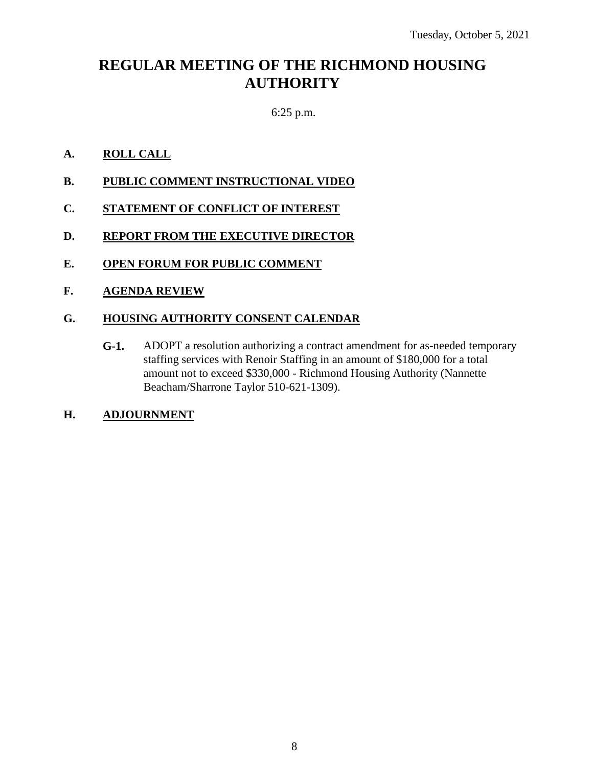## **REGULAR MEETING OF THE RICHMOND HOUSING AUTHORITY**

### 6:25 p.m.

#### **A. ROLL CALL**

- **B. PUBLIC COMMENT INSTRUCTIONAL VIDEO**
- **C. STATEMENT OF CONFLICT OF INTEREST**
- **D. REPORT FROM THE EXECUTIVE DIRECTOR**
- **E. OPEN FORUM FOR PUBLIC COMMENT**
- **F. AGENDA REVIEW**

#### **G. HOUSING AUTHORITY CONSENT CALENDAR**

**G-1.** ADOPT a resolution authorizing a contract amendment for as-needed temporary staffing services with Renoir Staffing in an amount of \$180,000 for a total amount not to exceed \$330,000 - Richmond Housing Authority (Nannette Beacham/Sharrone Taylor 510-621-1309).

#### **H. ADJOURNMENT**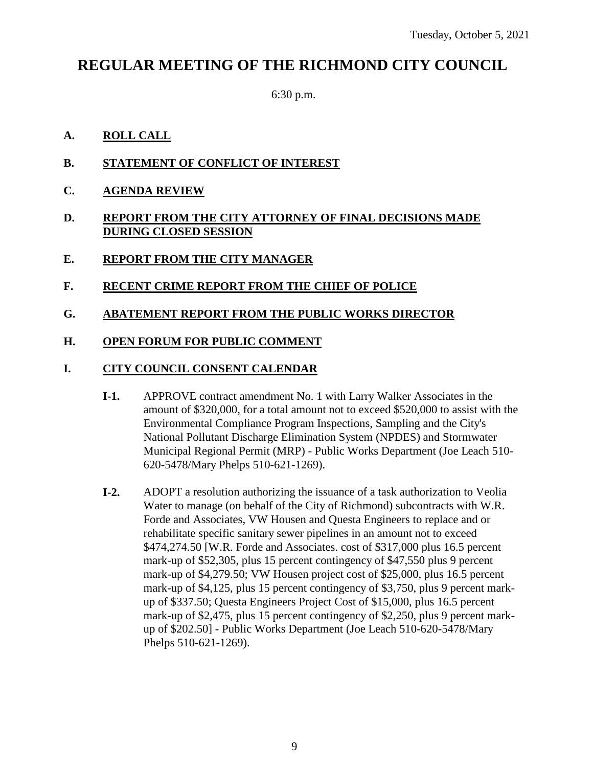## **REGULAR MEETING OF THE RICHMOND CITY COUNCIL**

6:30 p.m.

#### **A. ROLL CALL**

- **B. STATEMENT OF CONFLICT OF INTEREST**
- **C. AGENDA REVIEW**
- **D. REPORT FROM THE CITY ATTORNEY OF FINAL DECISIONS MADE DURING CLOSED SESSION**
- **E. REPORT FROM THE CITY MANAGER**

#### **F. RECENT CRIME REPORT FROM THE CHIEF OF POLICE**

**G. ABATEMENT REPORT FROM THE PUBLIC WORKS DIRECTOR**

#### **H. OPEN FORUM FOR PUBLIC COMMENT**

#### **I. CITY COUNCIL CONSENT CALENDAR**

- **I-1.** APPROVE contract amendment No. 1 with Larry Walker Associates in the amount of \$320,000, for a total amount not to exceed \$520,000 to assist with the Environmental Compliance Program Inspections, Sampling and the City's National Pollutant Discharge Elimination System (NPDES) and Stormwater Municipal Regional Permit (MRP) - Public Works Department (Joe Leach 510- 620-5478/Mary Phelps 510-621-1269).
- **I-2.** ADOPT a resolution authorizing the issuance of a task authorization to Veolia Water to manage (on behalf of the City of Richmond) subcontracts with W.R. Forde and Associates, VW Housen and Questa Engineers to replace and or rehabilitate specific sanitary sewer pipelines in an amount not to exceed \$474,274.50 [W.R. Forde and Associates. cost of \$317,000 plus 16.5 percent mark-up of \$52,305, plus 15 percent contingency of \$47,550 plus 9 percent mark-up of \$4,279.50; VW Housen project cost of \$25,000, plus 16.5 percent mark-up of \$4,125, plus 15 percent contingency of \$3,750, plus 9 percent markup of \$337.50; Questa Engineers Project Cost of \$15,000, plus 16.5 percent mark-up of \$2,475, plus 15 percent contingency of \$2,250, plus 9 percent markup of \$202.50] - Public Works Department (Joe Leach 510-620-5478/Mary Phelps 510-621-1269).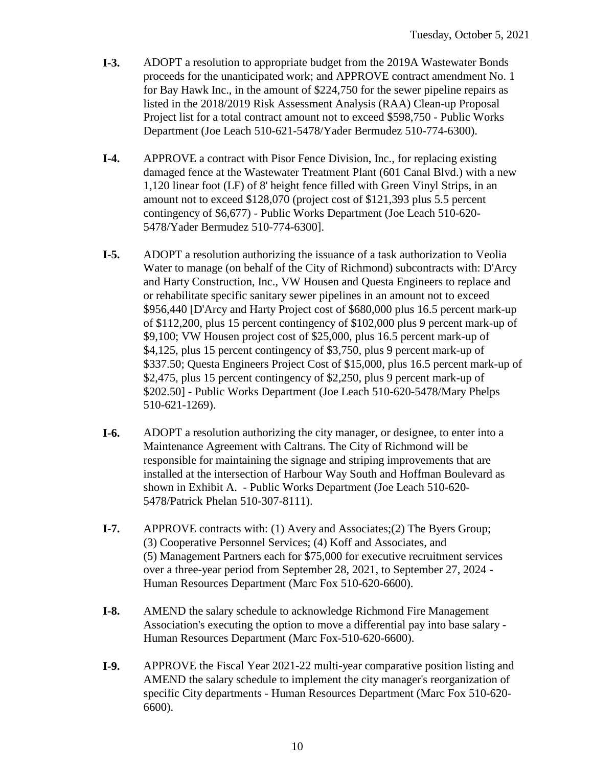- **I-3.** ADOPT a resolution to appropriate budget from the 2019A Wastewater Bonds proceeds for the unanticipated work; and APPROVE contract amendment No. 1 for Bay Hawk Inc., in the amount of \$224,750 for the sewer pipeline repairs as listed in the 2018/2019 Risk Assessment Analysis (RAA) Clean-up Proposal Project list for a total contract amount not to exceed \$598,750 - Public Works Department (Joe Leach 510-621-5478/Yader Bermudez 510-774-6300).
- **I-4.** APPROVE a contract with Pisor Fence Division, Inc., for replacing existing damaged fence at the Wastewater Treatment Plant (601 Canal Blvd.) with a new 1,120 linear foot (LF) of 8' height fence filled with Green Vinyl Strips, in an amount not to exceed \$128,070 (project cost of \$121,393 plus 5.5 percent contingency of \$6,677) - Public Works Department (Joe Leach 510-620- 5478/Yader Bermudez 510-774-6300].
- **I-5.** ADOPT a resolution authorizing the issuance of a task authorization to Veolia Water to manage (on behalf of the City of Richmond) subcontracts with: D'Arcy and Harty Construction, Inc., VW Housen and Questa Engineers to replace and or rehabilitate specific sanitary sewer pipelines in an amount not to exceed \$956,440 [D'Arcy and Harty Project cost of \$680,000 plus 16.5 percent mark-up of \$112,200, plus 15 percent contingency of \$102,000 plus 9 percent mark-up of \$9,100; VW Housen project cost of \$25,000, plus 16.5 percent mark-up of \$4,125, plus 15 percent contingency of \$3,750, plus 9 percent mark-up of \$337.50; Questa Engineers Project Cost of \$15,000, plus 16.5 percent mark-up of \$2,475, plus 15 percent contingency of \$2,250, plus 9 percent mark-up of \$202.50] - Public Works Department (Joe Leach 510-620-5478/Mary Phelps 510-621-1269).
- **I-6.** ADOPT a resolution authorizing the city manager, or designee, to enter into a Maintenance Agreement with Caltrans. The City of Richmond will be responsible for maintaining the signage and striping improvements that are installed at the intersection of Harbour Way South and Hoffman Boulevard as shown in Exhibit A. - Public Works Department (Joe Leach 510-620- 5478/Patrick Phelan 510-307-8111).
- **I-7.** APPROVE contracts with: (1) Avery and Associates;(2) The Byers Group; (3) Cooperative Personnel Services; (4) Koff and Associates, and (5) Management Partners each for \$75,000 for executive recruitment services over a three-year period from September 28, 2021, to September 27, 2024 - Human Resources Department (Marc Fox 510-620-6600).
- **I-8.** AMEND the salary schedule to acknowledge Richmond Fire Management Association's executing the option to move a differential pay into base salary - Human Resources Department (Marc Fox-510-620-6600).
- **I-9.** APPROVE the Fiscal Year 2021-22 multi-year comparative position listing and AMEND the salary schedule to implement the city manager's reorganization of specific City departments - Human Resources Department (Marc Fox 510-620- 6600).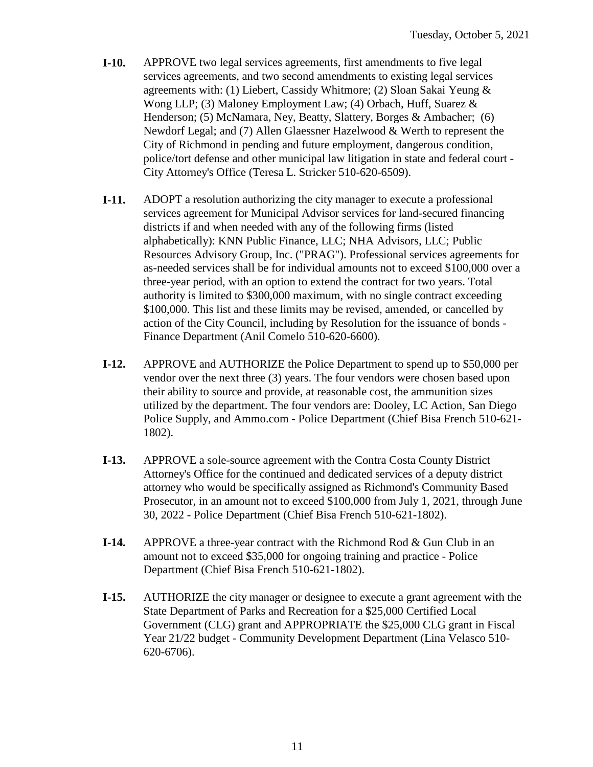- **I-10.** APPROVE two legal services agreements, first amendments to five legal services agreements, and two second amendments to existing legal services agreements with: (1) Liebert, Cassidy Whitmore; (2) Sloan Sakai Yeung & Wong LLP; (3) Maloney Employment Law; (4) Orbach, Huff, Suarez & Henderson; (5) McNamara, Ney, Beatty, Slattery, Borges & Ambacher; (6) Newdorf Legal; and (7) Allen Glaessner Hazelwood & Werth to represent the City of Richmond in pending and future employment, dangerous condition, police/tort defense and other municipal law litigation in state and federal court - City Attorney's Office (Teresa L. Stricker 510-620-6509).
- **I-11.** ADOPT a resolution authorizing the city manager to execute a professional services agreement for Municipal Advisor services for land-secured financing districts if and when needed with any of the following firms (listed alphabetically): KNN Public Finance, LLC; NHA Advisors, LLC; Public Resources Advisory Group, Inc. ("PRAG"). Professional services agreements for as-needed services shall be for individual amounts not to exceed \$100,000 over a three-year period, with an option to extend the contract for two years. Total authority is limited to \$300,000 maximum, with no single contract exceeding \$100,000. This list and these limits may be revised, amended, or cancelled by action of the City Council, including by Resolution for the issuance of bonds - Finance Department (Anil Comelo 510-620-6600).
- **I-12.** APPROVE and AUTHORIZE the Police Department to spend up to \$50,000 per vendor over the next three (3) years. The four vendors were chosen based upon their ability to source and provide, at reasonable cost, the ammunition sizes utilized by the department. The four vendors are: Dooley, LC Action, San Diego Police Supply, and Ammo.com - Police Department (Chief Bisa French 510-621- 1802).
- **I-13.** APPROVE a sole-source agreement with the Contra Costa County District Attorney's Office for the continued and dedicated services of a deputy district attorney who would be specifically assigned as Richmond's Community Based Prosecutor, in an amount not to exceed \$100,000 from July 1, 2021, through June 30, 2022 - Police Department (Chief Bisa French 510-621-1802).
- **I-14.** APPROVE a three-year contract with the Richmond Rod & Gun Club in an amount not to exceed \$35,000 for ongoing training and practice - Police Department (Chief Bisa French 510-621-1802).
- **I-15.** AUTHORIZE the city manager or designee to execute a grant agreement with the State Department of Parks and Recreation for a \$25,000 Certified Local Government (CLG) grant and APPROPRIATE the \$25,000 CLG grant in Fiscal Year 21/22 budget - Community Development Department (Lina Velasco 510- 620-6706).